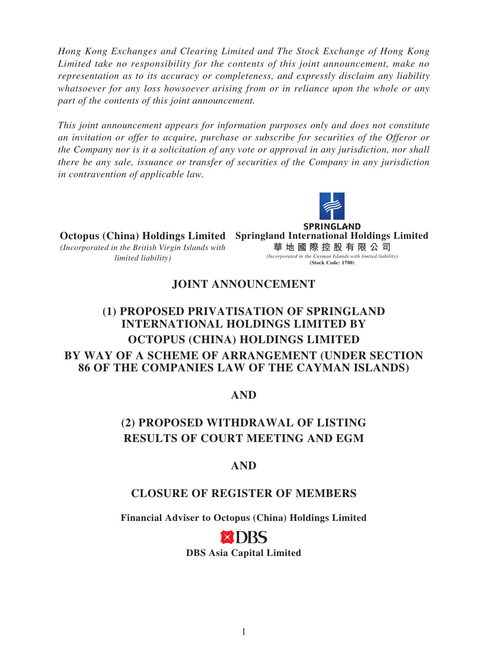*Hong Kong Exchanges and Clearing Limited and The Stock Exchange of Hong Kong Limited take no responsibility for the contents of this joint announcement, make no representation as to its accuracy or completeness, and expressly disclaim any liability whatsoever for any loss howsoever arising from or in reliance upon the whole or any part of the contents of this joint announcement.*

*This joint announcement appears for information purposes only and does not constitute an invitation or offer to acquire, purchase or subscribe for securities of the Offeror or the Company nor is it a solicitation of any vote or approval in any jurisdiction, nor shall there be any sale, issuance or transfer of securities of the Company in any jurisdiction in contravention of applicable law.*



**SPRINGLAND Octopus (China) Holdings Limited Springland International Holdings Limited** *(Incorporated in the British Virgin Islands with*  **華地國際控股有限公 司** *(Incorporated in the Cayman Islands with limited liability) limited liability)* **(Stock Code: 1700)**

## **JOINT ANNOUNCEMENT**

# **(1) PROPOSED PRIVATISATION OF SPRINGLAND INTERNATIONAL HOLDINGS LIMITED BY OCTOPUS (CHINA) HOLDINGS LIMITED BY WAY OF A SCHEME OF ARRANGEMENT (UNDER SECTION 86 OF THE COMPANIES LAW OF THE CAYMAN ISLANDS)**

#### **AND**

# **(2) PROPOSED WITHDRAWAL OF LISTING RESULTS OF COURT MEETING AND EGM**

## **AND**

## **CLOSURE OF REGISTER OF MEMBERS**

**Financial Adviser to Octopus (China) Holdings Limited**

**DBS Asia Capital Limited**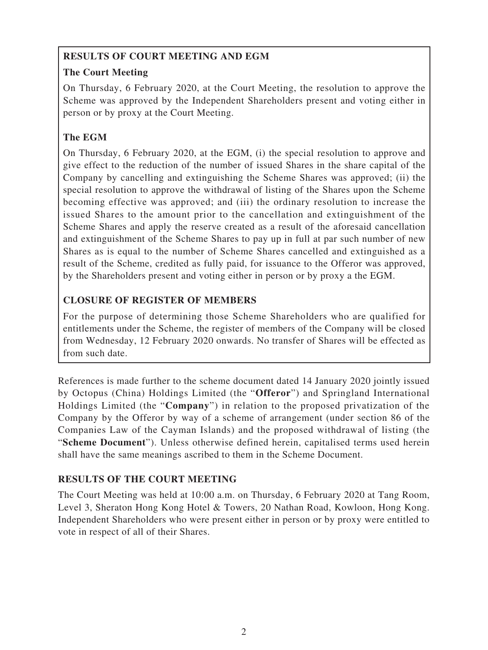## **RESULTS OF COURT MEETING AND EGM**

## **The Court Meeting**

On Thursday, 6 February 2020, at the Court Meeting, the resolution to approve the Scheme was approved by the Independent Shareholders present and voting either in person or by proxy at the Court Meeting.

# **The EGM**

On Thursday, 6 February 2020, at the EGM, (i) the special resolution to approve and give effect to the reduction of the number of issued Shares in the share capital of the Company by cancelling and extinguishing the Scheme Shares was approved; (ii) the special resolution to approve the withdrawal of listing of the Shares upon the Scheme becoming effective was approved; and (iii) the ordinary resolution to increase the issued Shares to the amount prior to the cancellation and extinguishment of the Scheme Shares and apply the reserve created as a result of the aforesaid cancellation and extinguishment of the Scheme Shares to pay up in full at par such number of new Shares as is equal to the number of Scheme Shares cancelled and extinguished as a result of the Scheme, credited as fully paid, for issuance to the Offeror was approved, by the Shareholders present and voting either in person or by proxy a the EGM.

## **CLOSURE OF REGISTER OF MEMBERS**

For the purpose of determining those Scheme Shareholders who are qualified for entitlements under the Scheme, the register of members of the Company will be closed from Wednesday, 12 February 2020 onwards. No transfer of Shares will be effected as from such date.

References is made further to the scheme document dated 14 January 2020 jointly issued by Octopus (China) Holdings Limited (the "**Offeror**") and Springland International Holdings Limited (the "**Company**") in relation to the proposed privatization of the Company by the Offeror by way of a scheme of arrangement (under section 86 of the Companies Law of the Cayman Islands) and the proposed withdrawal of listing (the "**Scheme Document**"). Unless otherwise defined herein, capitalised terms used herein shall have the same meanings ascribed to them in the Scheme Document.

## **RESULTS OF THE COURT MEETING**

The Court Meeting was held at 10:00 a.m. on Thursday, 6 February 2020 at Tang Room, Level 3, Sheraton Hong Kong Hotel & Towers, 20 Nathan Road, Kowloon, Hong Kong. Independent Shareholders who were present either in person or by proxy were entitled to vote in respect of all of their Shares.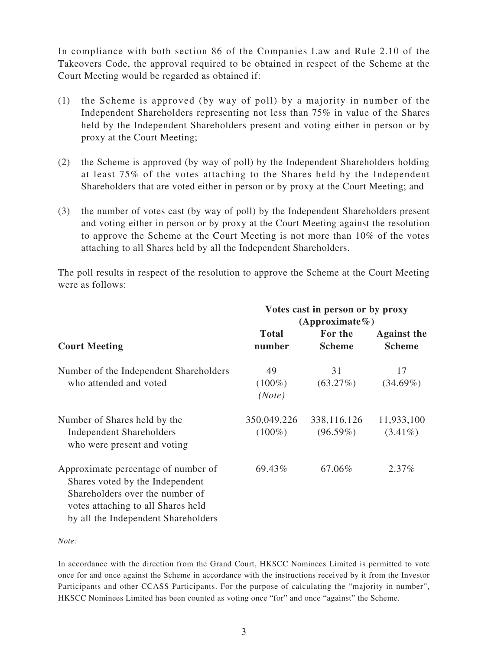In compliance with both section 86 of the Companies Law and Rule 2.10 of the Takeovers Code, the approval required to be obtained in respect of the Scheme at the Court Meeting would be regarded as obtained if:

- (1) the Scheme is approved (by way of poll) by a majority in number of the Independent Shareholders representing not less than 75% in value of the Shares held by the Independent Shareholders present and voting either in person or by proxy at the Court Meeting;
- (2) the Scheme is approved (by way of poll) by the Independent Shareholders holding at least 75% of the votes attaching to the Shares held by the Independent Shareholders that are voted either in person or by proxy at the Court Meeting; and
- (3) the number of votes cast (by way of poll) by the Independent Shareholders present and voting either in person or by proxy at the Court Meeting against the resolution to approve the Scheme at the Court Meeting is not more than 10% of the votes attaching to all Shares held by all the Independent Shareholders.

The poll results in respect of the resolution to approve the Scheme at the Court Meeting were as follows:

|                                                                                                                                                                                        | Votes cast in person or by proxy<br>$(Approximate\%)$ |                              |                                     |
|----------------------------------------------------------------------------------------------------------------------------------------------------------------------------------------|-------------------------------------------------------|------------------------------|-------------------------------------|
| <b>Court Meeting</b>                                                                                                                                                                   | <b>Total</b><br>number                                | For the<br><b>Scheme</b>     | <b>Against the</b><br><b>Scheme</b> |
| Number of the Independent Shareholders<br>who attended and voted                                                                                                                       | 49<br>$(100\%)$<br>(Note)                             | 31<br>$(63.27\%)$            | 17<br>$(34.69\%)$                   |
| Number of Shares held by the<br><b>Independent Shareholders</b><br>who were present and voting                                                                                         | 350,049,226<br>$(100\%)$                              | 338, 116, 126<br>$(96.59\%)$ | 11,933,100<br>$(3.41\%)$            |
| Approximate percentage of number of<br>Shares voted by the Independent<br>Shareholders over the number of<br>votes attaching to all Shares held<br>by all the Independent Shareholders | 69.43%                                                | 67.06%                       | $2.37\%$                            |

*Note:*

In accordance with the direction from the Grand Court, HKSCC Nominees Limited is permitted to vote once for and once against the Scheme in accordance with the instructions received by it from the Investor Participants and other CCASS Participants. For the purpose of calculating the "majority in number", HKSCC Nominees Limited has been counted as voting once "for" and once "against" the Scheme.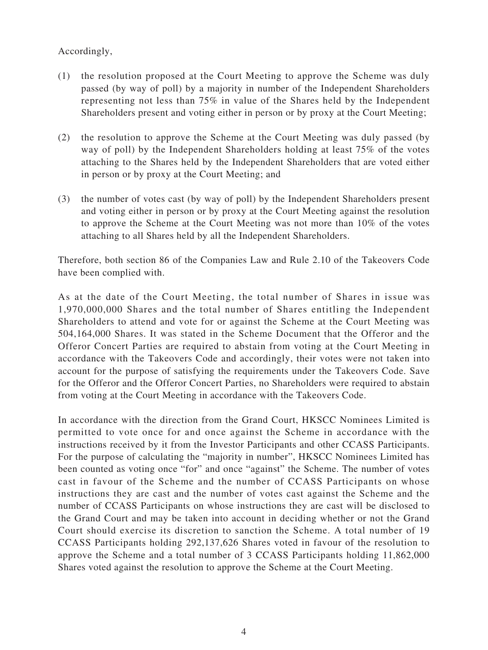#### Accordingly,

- (1) the resolution proposed at the Court Meeting to approve the Scheme was duly passed (by way of poll) by a majority in number of the Independent Shareholders representing not less than 75% in value of the Shares held by the Independent Shareholders present and voting either in person or by proxy at the Court Meeting;
- (2) the resolution to approve the Scheme at the Court Meeting was duly passed (by way of poll) by the Independent Shareholders holding at least 75% of the votes attaching to the Shares held by the Independent Shareholders that are voted either in person or by proxy at the Court Meeting; and
- (3) the number of votes cast (by way of poll) by the Independent Shareholders present and voting either in person or by proxy at the Court Meeting against the resolution to approve the Scheme at the Court Meeting was not more than 10% of the votes attaching to all Shares held by all the Independent Shareholders.

Therefore, both section 86 of the Companies Law and Rule 2.10 of the Takeovers Code have been complied with.

As at the date of the Court Meeting, the total number of Shares in issue was 1,970,000,000 Shares and the total number of Shares entitling the Independent Shareholders to attend and vote for or against the Scheme at the Court Meeting was 504,164,000 Shares. It was stated in the Scheme Document that the Offeror and the Offeror Concert Parties are required to abstain from voting at the Court Meeting in accordance with the Takeovers Code and accordingly, their votes were not taken into account for the purpose of satisfying the requirements under the Takeovers Code. Save for the Offeror and the Offeror Concert Parties, no Shareholders were required to abstain from voting at the Court Meeting in accordance with the Takeovers Code.

In accordance with the direction from the Grand Court, HKSCC Nominees Limited is permitted to vote once for and once against the Scheme in accordance with the instructions received by it from the Investor Participants and other CCASS Participants. For the purpose of calculating the "majority in number", HKSCC Nominees Limited has been counted as voting once "for" and once "against" the Scheme. The number of votes cast in favour of the Scheme and the number of CCASS Participants on whose instructions they are cast and the number of votes cast against the Scheme and the number of CCASS Participants on whose instructions they are cast will be disclosed to the Grand Court and may be taken into account in deciding whether or not the Grand Court should exercise its discretion to sanction the Scheme. A total number of 19 CCASS Participants holding 292,137,626 Shares voted in favour of the resolution to approve the Scheme and a total number of 3 CCASS Participants holding 11,862,000 Shares voted against the resolution to approve the Scheme at the Court Meeting.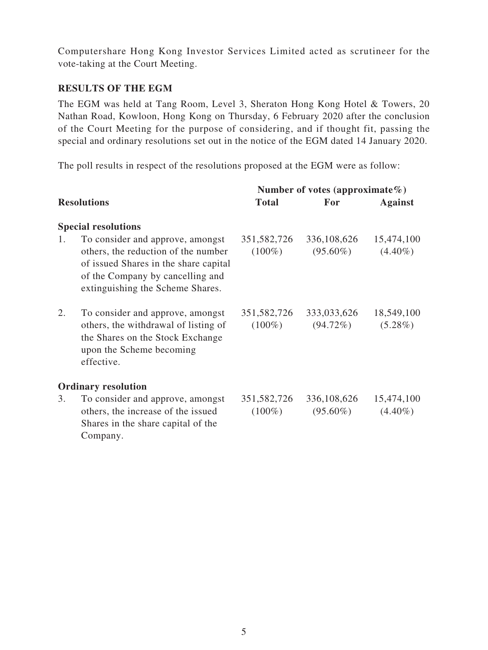Computershare Hong Kong Investor Services Limited acted as scrutineer for the vote-taking at the Court Meeting.

#### **RESULTS OF THE EGM**

The EGM was held at Tang Room, Level 3, Sheraton Hong Kong Hotel & Towers, 20 Nathan Road, Kowloon, Hong Kong on Thursday, 6 February 2020 after the conclusion of the Court Meeting for the purpose of considering, and if thought fit, passing the special and ordinary resolutions set out in the notice of the EGM dated 14 January 2020.

The poll results in respect of the resolutions proposed at the EGM were as follow:

|    |                                                                                                                                                                                          | Number of votes (approximate $\%$ ) |                            |                          |
|----|------------------------------------------------------------------------------------------------------------------------------------------------------------------------------------------|-------------------------------------|----------------------------|--------------------------|
|    | <b>Resolutions</b>                                                                                                                                                                       | <b>Total</b>                        | For                        | <b>Against</b>           |
|    | <b>Special resolutions</b>                                                                                                                                                               |                                     |                            |                          |
| 1. | To consider and approve, amongst<br>others, the reduction of the number<br>of issued Shares in the share capital<br>of the Company by cancelling and<br>extinguishing the Scheme Shares. | 351,582,726<br>$(100\%)$            | 336,108,626<br>$(95.60\%)$ | 15,474,100<br>$(4.40\%)$ |
| 2. | To consider and approve, amongst<br>others, the withdrawal of listing of<br>the Shares on the Stock Exchange<br>upon the Scheme becoming<br>effective.                                   | 351,582,726<br>$(100\%)$            | 333,033,626<br>$(94.72\%)$ | 18,549,100<br>$(5.28\%)$ |
|    | <b>Ordinary resolution</b>                                                                                                                                                               |                                     |                            |                          |
| 3. | To consider and approve, amongst<br>others, the increase of the issued<br>Shares in the share capital of the<br>Company.                                                                 | 351,582,726<br>$(100\%)$            | 336,108,626<br>$(95.60\%)$ | 15,474,100<br>$(4.40\%)$ |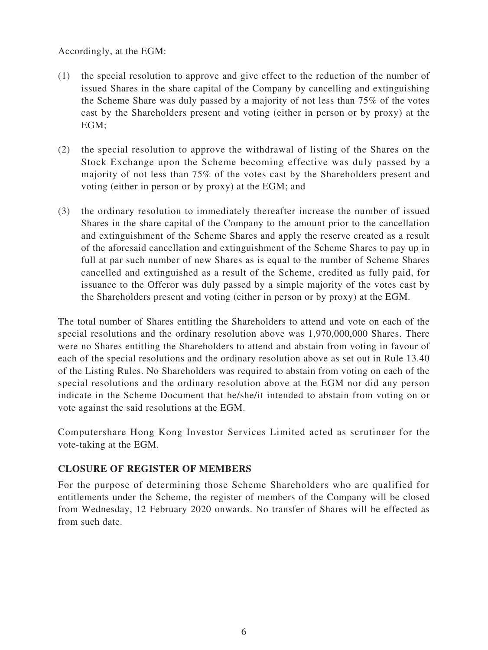Accordingly, at the EGM:

- (1) the special resolution to approve and give effect to the reduction of the number of issued Shares in the share capital of the Company by cancelling and extinguishing the Scheme Share was duly passed by a majority of not less than 75% of the votes cast by the Shareholders present and voting (either in person or by proxy) at the EGM;
- (2) the special resolution to approve the withdrawal of listing of the Shares on the Stock Exchange upon the Scheme becoming effective was duly passed by a majority of not less than 75% of the votes cast by the Shareholders present and voting (either in person or by proxy) at the EGM; and
- (3) the ordinary resolution to immediately thereafter increase the number of issued Shares in the share capital of the Company to the amount prior to the cancellation and extinguishment of the Scheme Shares and apply the reserve created as a result of the aforesaid cancellation and extinguishment of the Scheme Shares to pay up in full at par such number of new Shares as is equal to the number of Scheme Shares cancelled and extinguished as a result of the Scheme, credited as fully paid, for issuance to the Offeror was duly passed by a simple majority of the votes cast by the Shareholders present and voting (either in person or by proxy) at the EGM.

The total number of Shares entitling the Shareholders to attend and vote on each of the special resolutions and the ordinary resolution above was 1,970,000,000 Shares. There were no Shares entitling the Shareholders to attend and abstain from voting in favour of each of the special resolutions and the ordinary resolution above as set out in Rule 13.40 of the Listing Rules. No Shareholders was required to abstain from voting on each of the special resolutions and the ordinary resolution above at the EGM nor did any person indicate in the Scheme Document that he/she/it intended to abstain from voting on or vote against the said resolutions at the EGM.

Computershare Hong Kong Investor Services Limited acted as scrutineer for the vote-taking at the EGM.

#### **CLOSURE OF REGISTER OF MEMBERS**

For the purpose of determining those Scheme Shareholders who are qualified for entitlements under the Scheme, the register of members of the Company will be closed from Wednesday, 12 February 2020 onwards. No transfer of Shares will be effected as from such date.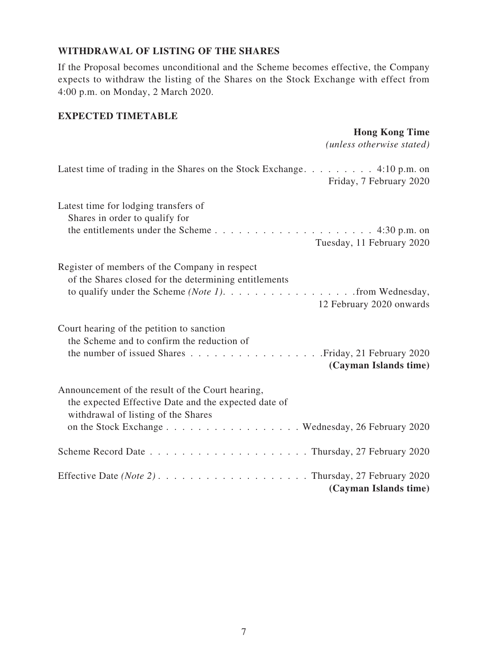### **WITHDRAWAL OF LISTING OF THE SHARES**

If the Proposal becomes unconditional and the Scheme becomes effective, the Company expects to withdraw the listing of the Shares on the Stock Exchange with effect from 4:00 p.m. on Monday, 2 March 2020.

#### **EXPECTED TIMETABLE**

### **Hong Kong Time**

*(unless otherwise stated)*

| Latest time of trading in the Shares on the Stock Exchange. 4:10 p.m. on<br>Friday, 7 February 2020                                                                                                  |
|------------------------------------------------------------------------------------------------------------------------------------------------------------------------------------------------------|
| Latest time for lodging transfers of<br>Shares in order to qualify for<br>Tuesday, 11 February 2020                                                                                                  |
| Register of members of the Company in respect<br>of the Shares closed for the determining entitlements<br>to qualify under the Scheme (Note 1). $\dots$ from Wednesday,<br>12 February 2020 onwards  |
| Court hearing of the petition to sanction<br>the Scheme and to confirm the reduction of<br>(Cayman Islands time)                                                                                     |
| Announcement of the result of the Court hearing,<br>the expected Effective Date and the expected date of<br>withdrawal of listing of the Shares<br>on the Stock Exchange Wednesday, 26 February 2020 |
|                                                                                                                                                                                                      |
| (Cayman Islands time)                                                                                                                                                                                |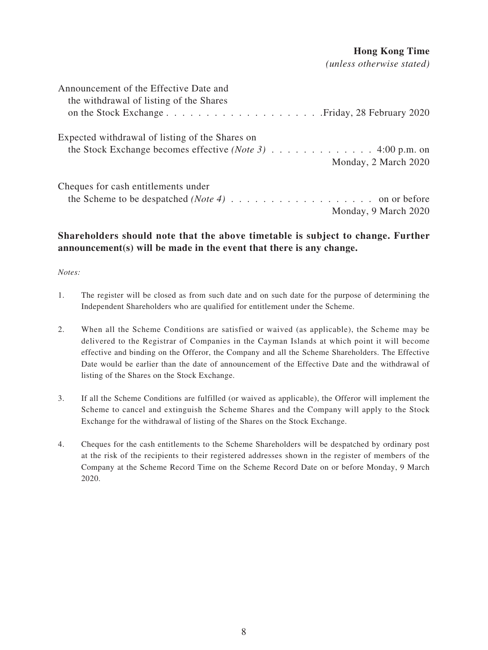#### **Hong Kong Time**

*(unless otherwise stated)*

| Announcement of the Effective Date and<br>the withdrawal of listing of the Shares                                                                      |                      |
|--------------------------------------------------------------------------------------------------------------------------------------------------------|----------------------|
| Expected withdrawal of listing of the Shares on<br>the Stock Exchange becomes effective ( <i>Note 3</i> ) $\dots \dots \dots \dots \dots$ 4:00 p.m. on | Monday, 2 March 2020 |
| Cheques for cash entitlements under                                                                                                                    | Monday, 9 March 2020 |

### **Shareholders should note that the above timetable is subject to change. Further announcement(s) will be made in the event that there is any change.**

#### *Notes:*

- 1. The register will be closed as from such date and on such date for the purpose of determining the Independent Shareholders who are qualified for entitlement under the Scheme.
- 2. When all the Scheme Conditions are satisfied or waived (as applicable), the Scheme may be delivered to the Registrar of Companies in the Cayman Islands at which point it will become effective and binding on the Offeror, the Company and all the Scheme Shareholders. The Effective Date would be earlier than the date of announcement of the Effective Date and the withdrawal of listing of the Shares on the Stock Exchange.
- 3. If all the Scheme Conditions are fulfilled (or waived as applicable), the Offeror will implement the Scheme to cancel and extinguish the Scheme Shares and the Company will apply to the Stock Exchange for the withdrawal of listing of the Shares on the Stock Exchange.
- 4. Cheques for the cash entitlements to the Scheme Shareholders will be despatched by ordinary post at the risk of the recipients to their registered addresses shown in the register of members of the Company at the Scheme Record Time on the Scheme Record Date on or before Monday, 9 March 2020.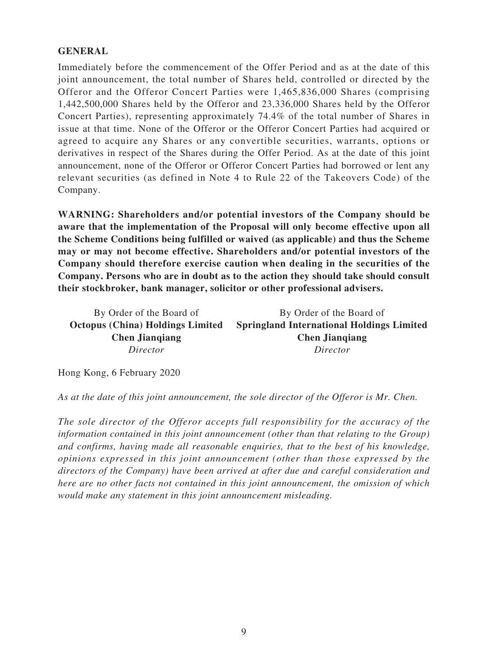### **GENERAL**

Immediately before the commencement of the Offer Period and as at the date of this joint announcement, the total number of Shares held, controlled or directed by the Offeror and the Offeror Concert Parties were 1,465,836,000 Shares (comprising 1,442,500,000 Shares held by the Offeror and 23,336,000 Shares held by the Offeror Concert Parties), representing approximately 74.4% of the total number of Shares in issue at that time. None of the Offeror or the Offeror Concert Parties had acquired or agreed to acquire any Shares or any convertible securities, warrants, options or derivatives in respect of the Shares during the Offer Period. As at the date of this joint announcement, none of the Offeror or Offeror Concert Parties had borrowed or lent any relevant securities (as defined in Note 4 to Rule 22 of the Takeovers Code) of the Company.

**WARNING: Shareholders and/or potential investors of the Company should be aware that the implementation of the Proposal will only become effective upon all the Scheme Conditions being fulfilled or waived (as applicable) and thus the Scheme may or may not become effective. Shareholders and/or potential investors of the Company should therefore exercise caution when dealing in the securities of the Company. Persons who are in doubt as to the action they should take should consult their stockbroker, bank manager, solicitor or other professional advisers.**

By Order of the Board of **Octopus (China) Holdings Limited Chen Jianqiang** *Director* By Order of the Board of **Springland International Holdings Limited Chen Jianqiang** *Director*

Hong Kong, 6 February 2020

*As at the date of this joint announcement, the sole director of the Offeror is Mr. Chen.*

*The sole director of the Offeror accepts full responsibility for the accuracy of the information contained in this joint announcement (other than that relating to the Group) and confirms, having made all reasonable enquiries, that to the best of his knowledge, opinions expressed in this joint announcement (other than those expressed by the directors of the Company) have been arrived at after due and careful consideration and here are no other facts not contained in this joint announcement, the omission of which would make any statement in this joint announcement misleading.*